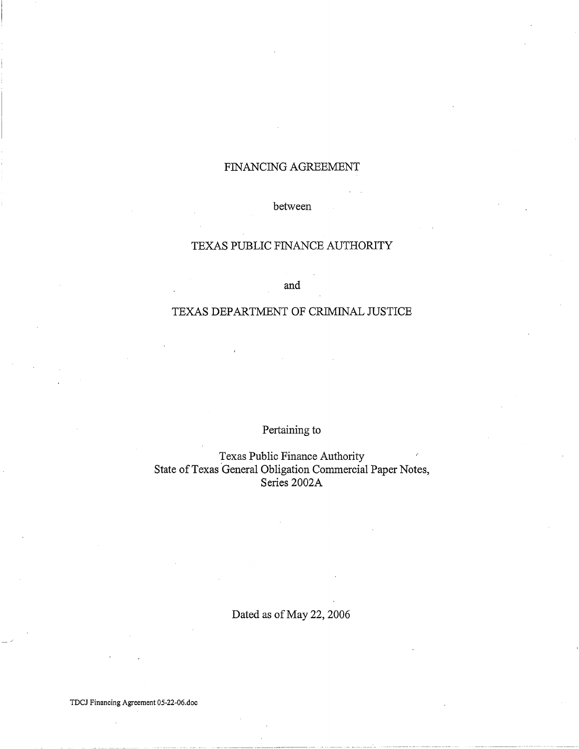# FINANCING AGREEMENT

# between

# TEXAS PUBLIC FINANCE AUTHORITY

and

# TEXAS DEPARTMENT OF CRIMINAL JUSTICE

Pertaining to

Texas Public Finance Authority State of Texas General Obligation Commercial Paper Notes, Series 2002A

Dated as of May 22, 2006

TDCJ Financing Agreement 05-22-06.doc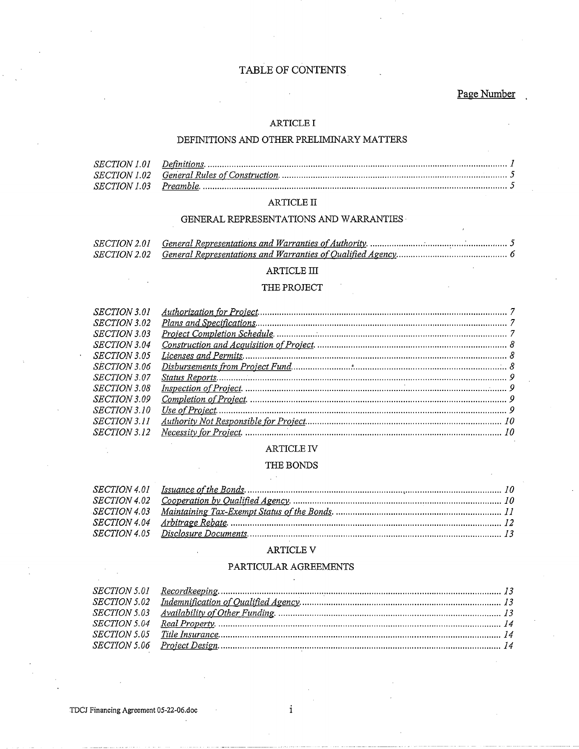# TABLE OF CONTENTS

Page Number

## $\operatorname{ARTICLE}$  I

# DEFINITIONS AND OTHER PRELIMINARY MATTERS

# ARTICLE II

# GENERAL REPRESENTATIONS AND WARRANTIES  $\cdot$

# $\operatorname{ARTICLE}$  III

## THE PROJECT

| <b>SECTION 3.01</b> |  |
|---------------------|--|
| <i>SECTION</i> 3.02 |  |
| <b>SECTION 3.03</b> |  |
| <b>SECTION 3.04</b> |  |
| <b>SECTION 3.05</b> |  |
| SECTION 3.06        |  |
| SECTION 3.07        |  |
| <b>SECTION 3.08</b> |  |
| <b>SECTION 3.09</b> |  |
| <i>SECTION 3.10</i> |  |
| <i>SECTION 3.11</i> |  |
| SECTION 3.12        |  |

## ARTICLE IV

#### THE BONDS

 $\chi(\lambda)$ 

## ARTICLE V

## PARTICULAR AGREEMENTS

 $\mathbf{i}$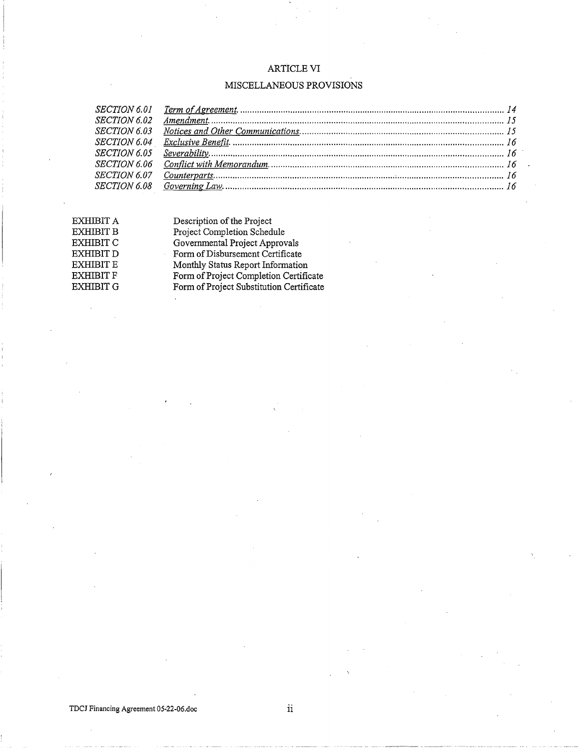# ARTiCLE VI

# MISCELLANEOUS PROVISIONS

| <i>SECTION 6.02</i> |  |
|---------------------|--|
| <b>SECTION 6.03</b> |  |
|                     |  |
|                     |  |
|                     |  |
|                     |  |
|                     |  |
|                     |  |

EXHIBIT A EXHIBIT **B** EXHIBITC EXHIBIT D EXHIBIT E EXHIBIT  ${\tt F}$ EXHIBIT G

Description of the Project Project Completion Schedule Governmental Project Approvals Form of Disbursement Certificate Monthly Status Report Information Form of Project Completion Certificate Form of Project Substitution Certificate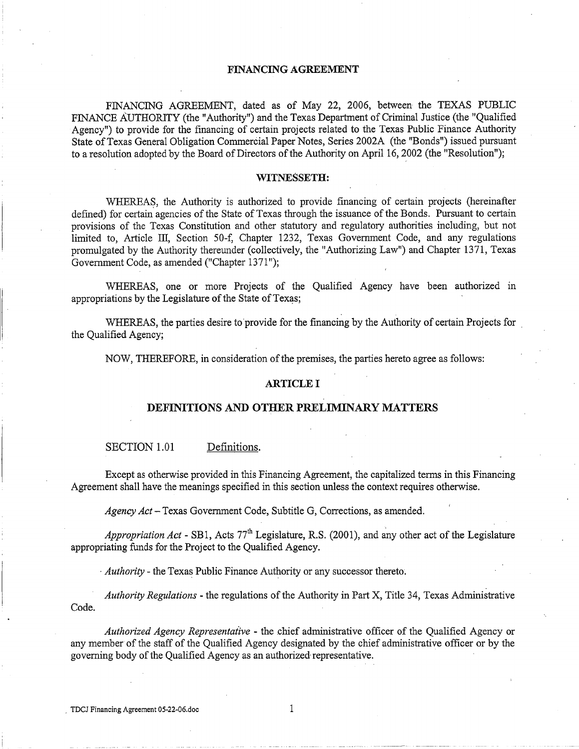#### **FINANCING AGREEMENT**

FINANCING AGREEMENT, dated as of May 22, 2006, between the TEXAS PUBLIC FINANCE AUTHORITY (the "Authority") and the Texas Department of Criminal Justice (the "Qualified Agency") to provide for the financing of certain projects related to the Texas Public Finance Authority State of Texas General Obligation Commercial Paper Notes, Series 2002A (the "Bonds") issued pursuant to a resolution adopted by the Board of Directors of the Authority on April 16, 2002 (the "Resolution");

## **WITNESSETH:**

WHEREAS, the Authority is authorized to provide financing of certain projects (hereinafter defined) for certain agencies of the State of Texas through the issuance of the Bonds. Pursuant to certain provisions of the Texas Constitution and other statutory and regulatory authorities including, but not limited to, Article III, Section 50-f, Chapter 1232, Texas Government Code, and any regulations promulgated by the Authority thereunder (collectively, the "Authorizing Law") and Chapter 1371, Texas Government Code, as amended ("Chapter 1371");

WHEREAS, one or more Projects of the Qualified Agency have been authorized in appropriations by the Legislature of the State of Texas;

WHEREAS, the parties desire to provide for the financing by the Authority of certain Projects for . the Qualified Agency;

NOW, THEREFORE, in consideration of the premises, the parties hereto agree as follows:

#### **ARTICLE I**

#### **DEFINITIONS AND OTHER PRELIMINARY MATTERS**

#### SECTION 1.01 Definitions.

Except as otherwise provided in this Financing Agreement, the capitalized terms in this Financing Agreement shall have the meanings specified in this section unless the context requires otherwise.

*Agency Act-* Texas Government Code, Subtitle G, Corrections, as amended.

*Appropriation Act* - SB1, Acts 77<sup>th</sup> Legislature, R.S. (2001), and any other act of the Legislature appropriating funds for the Project to the Qualified Agency.

· *Authority* - the Texas Public Finance Authority or any successor thereto.

*Authority Regulations* - the regulations of the Authority in Part X, Title 34, Texas Administrative Code.

*Authorized Agency Representative* - the chief administrative officer of the Qualified Agency or any member of the staff of the Qualified Agency designated by the chief administrative officer or by the governing body of the Qualified Agency as an authorized· representative.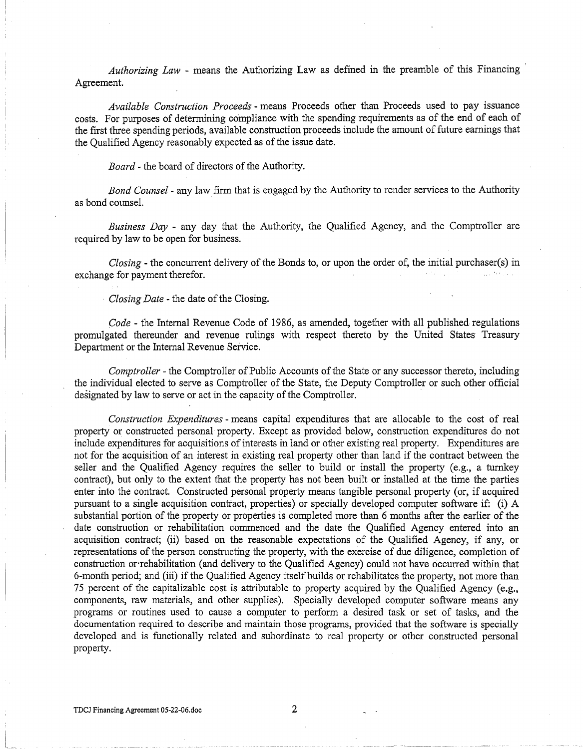*Authorizing Law* - means the Authorizing Law as defined in the preamble of this Financing ' Agreement.

*Available Construction Proceeds* - means Proceeds other than Proceeds used to pay issuance costs. For purposes of determining compliance with the spending requirements as of the end of each of the first three spending periods, available construction proceeds include the amount of future earnings that the Qualified Agency reasonably expected as of the issue date.

*Board-* the board of directors of the Authority.

*Bond Counsel* - any law firm that is engaged by the Authority to render services to the Authority as bond counsel.

*Business Day* - any day that the Authority, the Qualified Agency, and the Comptroller are required by law to be open for business.

*Closing-* the concurrent delivery of the Bonds to, or upon the order of, the initial purchaser(s) in exchange for payment therefor.

*Closing Date* - the date of the Closing.

*Code-* the Internal Revenue Code of 1986, as amended, together with all published regulations promulgated thereunder and revenue rulings with respect thereto by the United States Treasury Department or the Internal Revenue Service.

*Comptroller-* the Comptroller of Public Accounts of the State or any successor thereto, including the individual elected to serve as Comptroller of the State, the Deputy Comptroller or such other official designated by law to serve or act in the capacity of the Comptroller.

*Construction Expenditures* - means capital expenditures that are allocable to the cost of real property or constructed personal property. Except as provided below, construction expenditures do not include expenditures for acquisitions of interests in land or other existing real property. Expenditures are not for the acquisition of an interest in existing real property other than land if the contract between the seller and the Qualified Agency requires the seller to build or install the property (e.g., a turnkey contract), but only to the extent that the property has not been built or installed at the time the parties enter into the contract. Constructed personal property means tangible personal property (or, if acquired pursuant to a single acquisition contract, properties) or specially developed computer software if: (i) A substantial portion of the property or properties is completed more than 6 months after the earlier of the date construction or rehabilitation commenced and the date the Qualified Agency entered into an acquisition contract; (ii) based on the reasonable expectations of the Qualified Agency, if any, or representations of the person constructing the property, with the exercise of due diligence, completion of construction or·rehabilitation (and delivery to the Qualified Agency) could not have occurred within that 6-month period; and (iii) if the Qualified Agency itself builds or rehabilitates the property, not more than 75 percent of the capitalizable cost is attributable to property acquired by the Qualified Agency (e.g., components, raw materials, and other supplies). Specially developed computer software means any programs or routines used to cause a computer to perform a desired task or set of tasks, and the documentation required to describe and maintain those programs, provided that the software is specially developed and is functionally related and subordinate to real property or other constructed personal property.

I\_-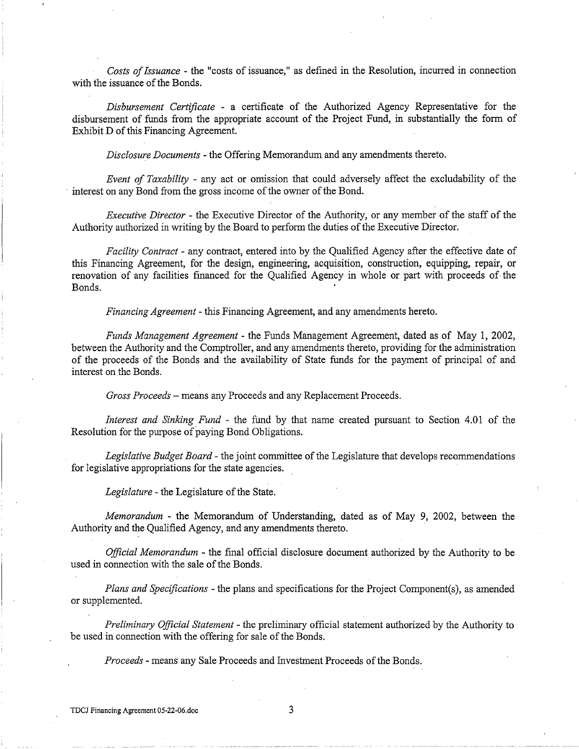*Costs of Issuance* - the "costs of issuance," as defined in the Resolution, incurred in connection with the issuance of the Bonds.

*Disbursement Certificate* - a certificate of the Authorized Agency Representative for the disbursement of funds from the appropriate account of the Project Fund, in substantially the form of Exhibit D of this Financing Agreement.

*Disclosure Documents* - the Offering Memorandum and any amendments thereto.

*Event of Taxability* - any act or omission that could adversely affect the excludability of the interest on any Bond from the gross income of the owner of the Bond.

*Executive Director* - the Executive Director of the Authority, or any member of the staff of the Authority authorized in writing by the Board to perform the duties of the Executive Director.

*Facility Contract* - any contract, entered into by the Qualified Agency after the effective date of this Financing Agreement, for the design, engineering, acquisition, construction, equipping, repair, or renovation of any facilities financed for the Qualified Agency in whole or part with proceeds of the Bonds.

*Financing Agreement* - this Financing Agreement, and any amendments hereto.

*Funds Management Agreement-* the Funds Management Agreement, dated as of May 1, 2002, between the Authority and the Comptroller, and any amendments thereto, providing for the administration of the proceeds of the Bonds and the availability of State funds for the payment of principal of and interest on the Bonds.

*Gross Proceeds* -means any Proceeds and any Replacement Proceeds.

*Interest and Sinking Fund* - the fund by that name created pursuant to Section 4.01 of the Resolution for the purpose of paying Bond Obligations.

*Legislative Budget Board-* the joint committee of the Legislature that develops recommendations for legislative appropriations for the state agencies.

*Legislature-* the Legislature of the State.

*Memorandum* - the Memorandum of Understanding, dated as of May 9, 2002, between the Authority and the Qualified Agency, and any amendments thereto.

*Official Memorandum* - the final official disclosure document authorized by the Authority to be used in connection with the sale of the Bonds.

*Plans and Specifications-* the plans and specifications for the Project Component(s), as amended or supplemented.

*Preliminary Official Statement* - the preliminary official statement authorized by the Authority to be used in connection with the offering for sale of the Bonds.

*Proceeds-* means any Sale Proceeds and Investment Proceeds of the Bonds.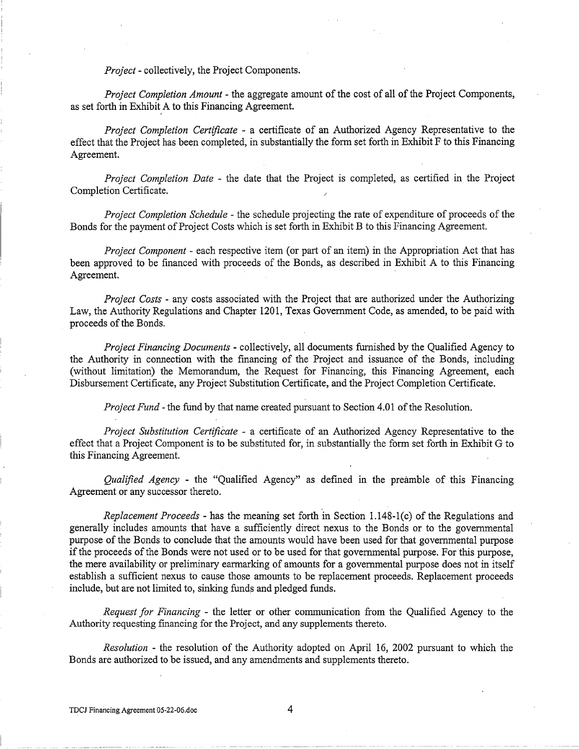*Project-* collectively, the Project Components.

*Project Completion Amount* - the aggregate amount of the cost of all of the Project Components, as set forth in Exhibit A to this Financing Agreement.

*Project Completion Certificate* - a certificate of an Authorized Agency Representative to the effect that the Project has been completed, in substantially the form set forth in Exhibit F to this Financing Agreement.

*Project Completion Date* - the date that the Project is completed, as certified in the Project Completion Certificate.

*Project Completion Schedule-* the schedule projecting the rate of expenditure of proceeds of the Bonds for the payment of Project Costs which is set forth in Exhibit B to this Financing Agreement.

*Project Component* - each respective item (or part of an item) in the Appropriation Act that has been approved to be financed with proceeds of the Bonds, as described in Exhibit A to this Financing Agreement.

*Project Costs* - any costs associated with the Project that are authorized under the Authorizing Law, the Authority Regulations and Chapter 1201, Texas Government Code, as amended, to be paid with proceeds of the Bonds.

*Project Financing Documents* - collectively, all documents furnished by the Qualified Agency to the Authority in connection with the financing of the Project and issuance of the Bonds, including (without limitation) the Memorandum, the Request for Financing, this Financing Agreement, each Disbursement Certificate, any Project Substitution Certificate, and the Project Completion Certificate.

*Project Fund-* the fund by that name created pursuant to Section 4.01 of the Resolution.

*Project Substitution Certificate* - a certificate of an Authorized Agency Representative to the effect that a Project Component is to be substituted for, in substantially the form set forth in Exhibit G to this Financing Agreement.

*Qualified Agency* - the "Qualified Agency" as defined in the preamble of this Financing Agreement or any successor thereto.

*Replacement Proceeds-* has the meaning set forth in Section 1.148-1(c) of the Regulations and generally includes amounts that have a sufficiently direct nexus to the Bonds or to the governmental purpose of the Bonds to conclude that the amounts would have been used for that governmental purpose if the proceeds ofthe Bonds were not used or to be used for that governmental purpose. For this purpose, the mere availability or preliminary earmarking of amounts for a governmental purpose does not in itself establish a sufficient nexus to cause those amounts to be replacement proceeds. Replacement proceeds include, but are not limited to, sinking funds and pledged funds.

*Request for Financing* - the letter or other communication from the Qualified Agency to the Authority requesting financing for the Project, and any supplements thereto.

*Resolution* - the resolution of the Authority adopted on April 16, 2002 pursuant to which the Bonds are authorized to be issued, and any amendments and supplements thereto.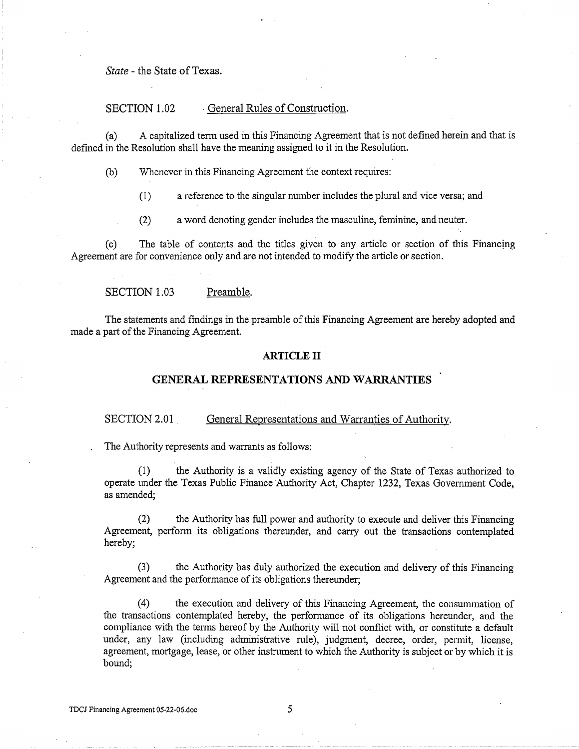*State* - the State of Texas.

# SECTION 1.02 General Rules of Construction.

(a) A capitalized term used in this Financing Agreement that is not defined herein and that is defined in the Resolution shall have the meaning assigned to it in the Resolution.

(b) Whenever in this Financing Agreement the context requires:

(1) a reference to the singular number includes the plural and vice versa; and

(2) a word denoting gender includes the masculine, feminine, and neuter.

(c) The table of contents and the titles given to any article or section of this Financing Agreement are for convenience only and are not intended to modify the article or section.

SECTION 1.03 Preamble.

The statements and findings in the preamble of this Financing Agreement are hereby adopted and made a part of the Financing Agreement.

#### **ARTICLE II**

# **GENERAL REPRESENTATIONS AND WARRANTIES**

SECTION 2.01 . General Representations and Warranties of Authority.

The Authority represents and warrants as follows:

(1) the Authority is a validly existing agency of the State of Texas authorized to operate under the Texas Public Finance Authority Act, Chapter 1232, Texas Government Code, as amended;

(2) the Authority has full power and authority to execute and deliver this Financing Agreement, perform its obligations thereunder, and carry out the transactions contemplated hereby;

(3) the Authority has duly authorized the execution and delivery of this Financing Agreement and the performance of its obligations thereunder;

(4) the execution and delivery of this Financing Agreement, the consummation of the transactions contemplated· hereby, the performance of its obligations hereunder, and the compliance with the terms hereof by the Authority will not conflict with, or constitute a default under, any law (including administrative rule), judgment, decree, order, permit, license, agreement, mortgage, lease, or other instrument to which the Authority is subject or by which it is bound;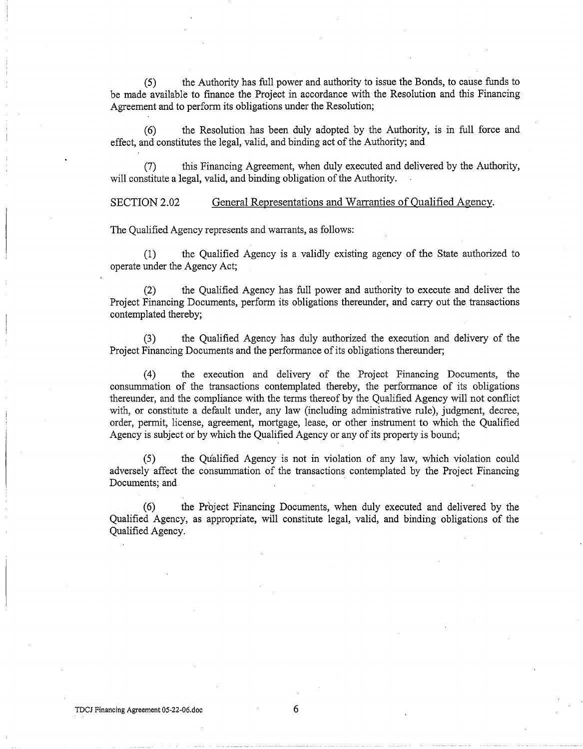(5) the Authority has full power and authority to issue the Bonds, to cause funds to be made available to finance the Project in accordance with the Resolution and this Financing Agreement and to perform its obligations under the Resolution;

(6) the Resolution has been duly adopted by the Authority, is in full force and effect, and constitutes the legal,. valid, and binding act of the Authority; and

(7) this Financing Agreement, when duly executed and delivered by the Authority, will constitute a legal, valid, and binding obligation of the Authority.

SECTION 2.02 General Representations and Warranties of Qualified Agency.

The Qualified Agency represents and warrants, as follows:

(1) the Qualified Agency is a validly existing agency of the State authorized to operate under the Agency Act;

(2) the Qualified Agency has full power and authority to execute and deliver the Project Financing Documents, perform its obligations thereunder, and carry out the transactions contemplated thereby;

(3) the Qualified Agency has duly authorized the execution and delivery of the Project Financing Documents and the performance of its obligations thereunder;

(4) the execution and delivery of the Project Financing Documents, the consummation of the transactions contemplated thereby, the performance of its obligations thereunder, and the compliance with the terms thereof by the Qualified Agency will not conflict with, or constitute a default under, any law (including administrative rule), judgment, decree, order, permit, license, agreement, mortgage, lease, or other instrument to which the Qualified Agency is subject or by which the Qualified Agency or any of its property is bound;

(5) the Qualified Agency is not in violation of any law, which violation could adversely affect the consummation of the transactions contemplated by the Project Financing Documents; and

(6) the Project Financing Documents, when duly executed and delivered by the Qualified Agency, as appropriate, will constitute legal, valid, and binding obligations of the Qualified Agency.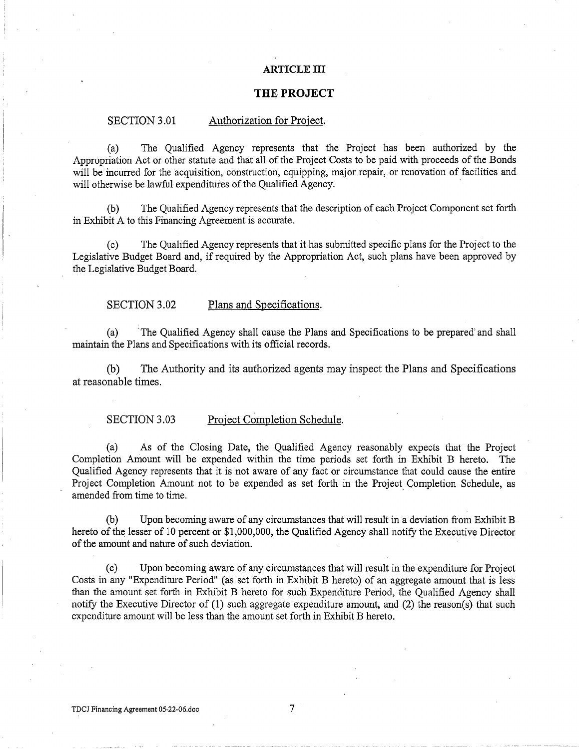#### **ARTICLE III**

# **THE PROJECT**

# SECTION 3.01 Authorization for Project.

(a) The Qualified Agency represents that the Project has been authorized by the Appropriation Act or other statute and that all of the Project Costs to be paid with proceeds of the Bonds will be incurred for the acquisition, construction, equipping, major repair, or renovation of facilities and will otherwise be lawful expenditures of the Qualified Agency.

(b) The Qualified Agency represents that the description of each Project Component set forth in Exhibit A to this Financing Agreement is accurate.

(c) The Qualified Agency represents that it has submitted specific plans for the Project to the Legislative Budget Board and, if required by the Appropriation Act, such plans have been approved by the Legislative Budget Board.

# SECTION 3.02 Plans and Specifications.

(a) 'The Qualified Agency shall cause the Plans and Specifications to be prepared' and shall maintain the Plans and Specifications with its official records.

(b) The Authority and its authorized agents may inspect the Plans and Specifications at reasonable times.

# SECTION 3.03 Project Completion Schedule.

(a) As of the Closing Date, the Qualified Agency reasonably expects that the Project Completion Amount will be expended within the time periods set forth in Exhibit B hereto. The Qualified Agency represents that it is not aware of any fact or circumstance that could cause the entire Project Completion Amount not to be expended as set forth in the Project Completion Schedule, as amended from time to time.

(b) Upon becoming aware of any circumstances that will result in a deviation from Exhibit B hereto of the lesser of 10 percent or \$1,000,000, the Qualified Agency shall notify the Executive Director of the amount and nature of such deviation.

(c) Upon becoming aware of any circumstances that will result in the expenditure for Project Costs in any "Expenditure Period" (as set forth in Exhibit B hereto) of an aggregate amount that is less than the amount set forth in Exhibit B hereto for such Expenditure Period, the Qualified Agency shall notify the Executive Director of (1) such aggregate expenditure amount, and (2) the reason(s) that such expenditure amount will be less than the amount set forth in Exhibit B hereto.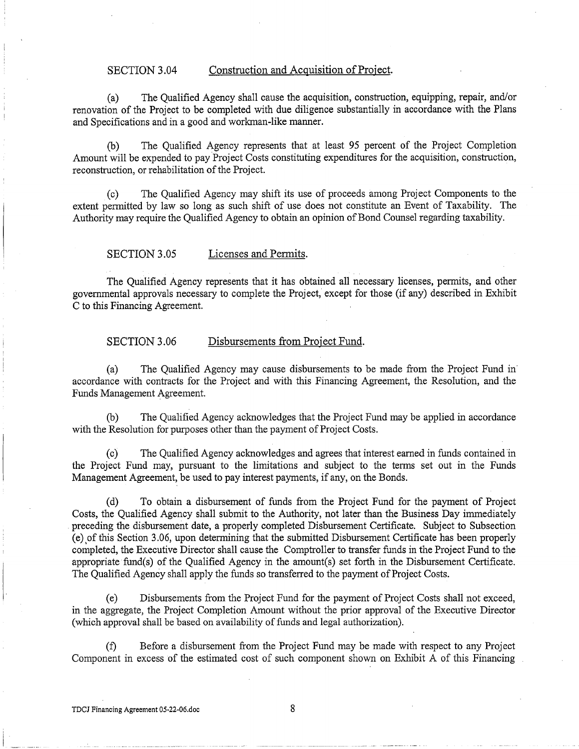# SECTION 3.04 Construction and Acquisition of Project.

(a) The Qualified Agency shall cause the acquisition, construction, equipping, repair, and/or renovation of the Project to be completed with due diligence substantially in accordance with the Plans and Specifications and in a good and workman-like manner.

(b) The Qualified Agency represents that at least 95 percent of the Project Completion Amount will be expended to pay Project Costs constituting expenditures for the acquisition, construction, reconstruction, or rehabilitation of the Project.

(c) The Qualified Agency may shift its use of proceeds among Project Components to the extent permitted by law so long as such shift of use does not constitute an Event of Taxability. The Authority may require the Qualified Agency to obtain an opinion of Bond Counsel regarding taxability.

SECTION 3.05 Licenses and Permits.

The Qualified Agency represents that it has obtained all necessary licenses, permits, and other governmental approvals necessary to complete the Project, except for those (if any) described in Exhibit C to this Financing Agreement.

# SECTION 3.06 Disbursements from Project Fund.

(a) The Qualified Agency may cause disbursements to be made from the Project Fund in· accordance with contracts for the Project and with this Financing Agreement, the Resolution, and the Funds Management Agreement.

The Qualified Agency acknowledges that the Project Fund may be applied in accordance with the Resolution for purposes other than the payment of Project Costs.

(c) The Qualified Agency acknowledges and agrees that interest earned in funds contained in the Project Fund may, pursuant to the limitations and subject to the terms set out in the Funds Management Agreement, be used to pay interest payments, if any, on the Bonds.

(d) To obtain a disbursement of funds from the Project Fund for the payment of Project Costs, the Qualified Agency shall submit to the Authority, not later than the Business Day immediately preceding the disbursement date, a properly completed Disbursement Certificate. Subject to Subsection (e),ofthis Section 3.06, upon determining that the submitted Disbursement Certificate has been properly completed, the Executive Director shall cause the Comptroller to transfer funds in the Project Fund to the appropriate fund(s) of the Qualified Agency in the amount(s) set forth in the Disbursement Certificate. The Qualified Agency shall apply the funds so transferred to the payment of Project Costs.

(e) Disbursements from the Project Fund for the payment of Project Costs shall not exceed, in the aggregate, the Project Completion Amount without the prior approval of the Executive Director (which approval shall be based on availability of funds and legal authorization).

(f) Before a disbursement from the Project Fund may be made with respect to any Project Component in excess of the estimated cost of such component shown on Exhibit A of this Financing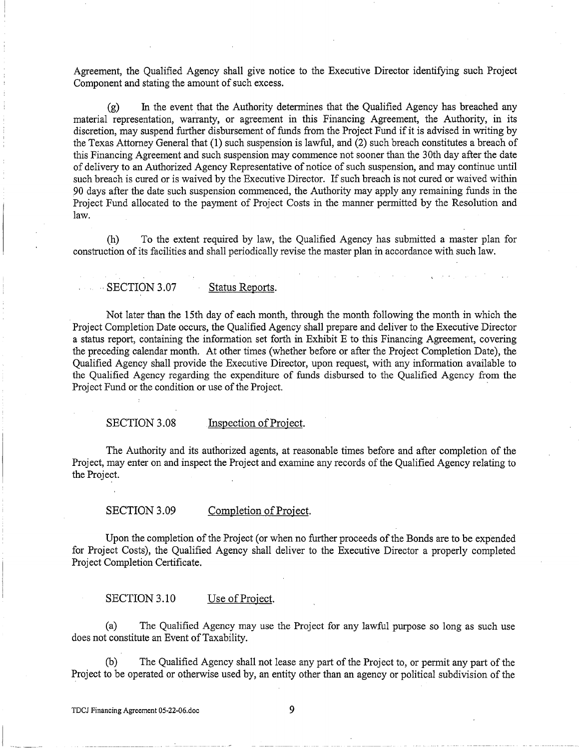Agreement, the Qualified Agency shall give notice to the Executive Director identifying such Project Component and stating the amount of such excess.

(g) In the event that the Authority determines that the Qualified Agency has breached any material representation, warranty, or agreement in this Financing Agreement, the Authority, in its discretion, may suspend further disbursement of funds from the Project Fund if it is advised in writing by the Texas Attorney General that (1) such suspension is lawful, and (2) such breach constitutes a breach of this Financing Agreement and such suspension may commence not sooner than the 30th day after the date of delivery to an Authorized Agency Representative of notice of such suspension, and may continue until such breach is cured or is waived by the Executive Director. If such breach is not cured or waived within 90 days after the date such suspension commenced, the Authority may apply any remaining funds in the Project Fund allocated to the payment of Project Costs in the manner permitted by the Resolution and law.

(h) To the extent required by law, the Qualified Agency has submitted a master plan for construction of its facilities and shall periodically revise the master plan in accordance with such law.

## SECTION 3.07 Status Reports.

Not later than the 15th day of each month, through the month following the month in which the Project Completion Date occurs, the Qualified Agency shall prepare and deliver to the Executive Director a status report, containing the information set forth in Exhibit E to this Financing Agreement, covering the preceding calendar month. At other times (whether before or after the Project Completion Date), the Qualified Agency shall provide the Executive Director, upon request, with any information available to the Qualified Agency regarding the expenditure of funds disbursed to the Qualified Agency from the Project Fund or the condition or use of the Project.

# SECTION 3.08 Inspection of Project.

The Authority and its authorized agents, at reasonable times before and after completion of the Project, may enter on and inspect the Project and examine any records of the Qualified Agency relating to the Project.

# SECTION 3.09 Completion of Project.

Upon the completion of the Project (or when no further proceeds of the Bonds are to be expended for Project Costs), the Qualified Agency shall deliver to the Executive Director a properly completed Project Completion Certificate.

# SECTION 3.10 Use of Project.

(a) The Qualified Agency may use the Project for any lawful purpose so long as such use does not constitute an Event of Taxability.

(b) The Qualified Agency shall not lease any part of the Project to, or permit any part of the Project to be operated or otherwise used by, an entity other than an agency or political subdivision of the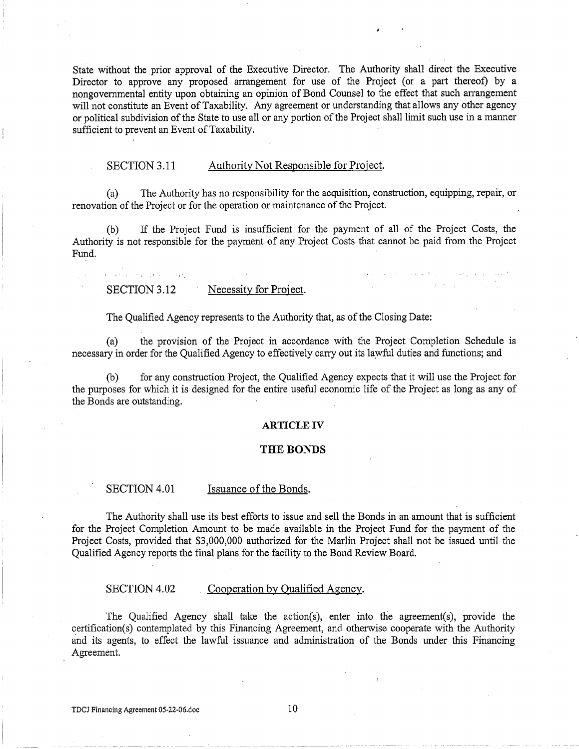State without the prior approval of the Executive Director. The Authority shall direct the Executive Director to approve any proposed arrangement for use of the Project (or a part thereof) by a nongovernmental entity upon obtaining an opinion of Bond Counsel to the effect that such arrangement will not constitute an Event of Taxability. Any agreement or understanding that allows any other agency or political subdivision of the State to use all or any portion of the Project shall limit such use in a manner sufficient to prevent an Event of Taxability.

# SECTION 3.11 Authority Not Responsible for Project.

(a) The Authority has no responsibility for the acquisition, construction, equipping, repair, or renovation of the Project or for the operation or maintenance of the Project.

(b) If the Project Fund is insufficient for the payment of all of the Project Costs, the Authority is not responsible for the payment of any Project Costs that cannot be paid from the Project Fund.

## SECTION 3.12 Necessity for Project.

and seems the experience of such

The Qualified Agency represents to the Authority that, as of the Closing Date:

(a) the provision of the Project in accordance with the Project Completion Schedule is necessary in order for the Qualified Agency to effectively carry out its lawful duties and functions; and

(b) for any construction Project, the Qualified Agency expects that it will use the Project for the purposes for which it is designed for the entire useful economic life of the Project as long as any of the Bonds are outstanding.

## **ARTICLE IV**

#### **THE BONDS**

## SECTION 4.01 Issuance of the Bonds.

The Authority shall use its best efforts to issue and sell the Bonds in an amount that is sufficient for the Project Completion Amount to be made available in the Project Fund for the payment of the Project Costs, provided that \$3,000,000 authorized for the Marlin Project shall not be issued until the Qualified Agency reports the final plans for the facility to the Bond Review Board.

#### SECTION 4.02 Cooperation by Qualified Agency.

The Qualified Agency shall take the action(s), enter into the agreement(s), provide the certification(s) contemplated by this Financing Agreement, and otherwise cooperate with the Authority and its agents, to effect the lawful issuance and administration of the Bonds under this Financing Agreement.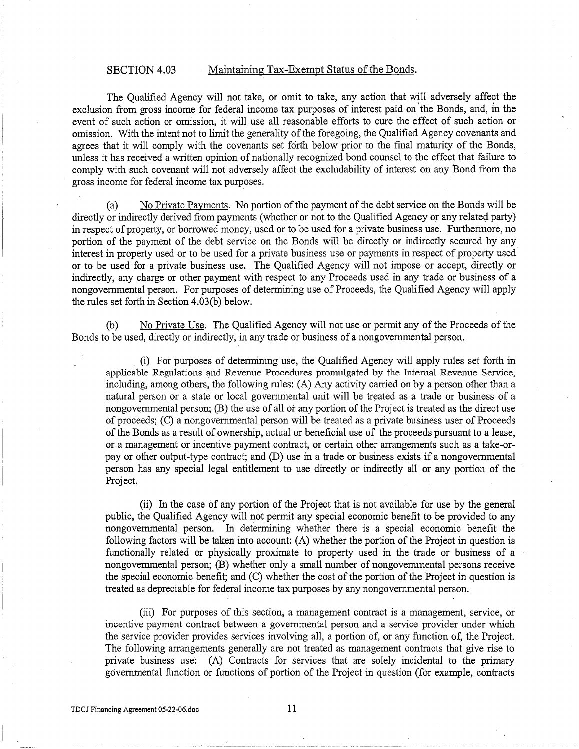# SECTION 4.03 Maintaining Tax-Exempt Status of the Bonds.

The Qualified Agency will not take, or omit to take, any action that will adversely affect the exclusion from gross income for federal income tax purposes of interest paid on' the Bonds, and, *in* the event of such action or omission, it will use all reasonable efforts to cure the effect of such action or omission. With the intent not to limit the generality of the foregoing, the Qualified Agency covenants and agrees that it will comply with the covenants set forth below prior to the final maturity of the Bonds, unless it has received a written opinion of nationally recognized bond counsel to the effect that failure to comply with such covenant will not adversely affect the excludability of interest on any Bond from the gross income for federal income tax purposes.

(a) No Private Payments. No portion of the payment of the debt service on the Bonds will be directly or indirectly derived from payments (whether or not to the Qualified Agency or any related party) in respect of property, or borrowed money, used or to be used for a private business use. Furthermore, no portion of the payment of the debt service on the Bonds will be directly or indirectly secured by any interest in property used or to be used for a private business use or payments in respect of property used or to be used for a private business use. The Qualified Agency will not impose or accept, directly or indirectly; any charge or other payment with respect to any Proceeds used in any trade or business of a nongovernmental person. For purposes of determining use of Proceeds, the Qualified Agency will apply the rules set forth in Section 4.03(b) below.

(b) No Private Use. The Qualified Agency will not use or permit any of the Proceeds of the Bonds to be used, directly or indirectly, in any trade or business of a nongovernmental person .

. (i) For purposes of determining use, the Qualified Agency will apply rules set forth in applicable Regulations and Revenue Procedures promulgated by the Internal Revenue Service, including, among others, the following rules: (A) Any activity carried on by a person other than a natural person or a state or local governmental unit will be treated as a trade or business of a nongovernmental person; (B) the use of all ot any portion of the Project is treated as the direct use of proceeds; (C) a nongovernmental person will be treated as a private business user of Proceeds of the Bonds as a result of ownership, actual or beneficial use of the proceeds pursuant to a lease, or a management or incentive payment contract, or certain other arrangements such as a take-orpay or other output-type contract; and (D) use in a trade or business exists if a nongovernmental person has any special legal entitlement to use directly or indirectly all or any portion of the Project.

(ii) In the case of any portion of the Project that is not available for use by the general public, the Qualified Agency will not permit any special economic benefit to be provided to any nongovernmental person. In determining whether there is a special economic benefit the following factors will be taken into account: (A) whether the portion of the Project in question is functionally related or physically proximate to property used in the trade or business of a nongovernmental person; (B) whether only a small number of nongovernmental persons receive the special economic benefit; and (C) whether the cost of the portion of the Project in question is treated as depreciable for federal income tax purposes by any nongovernmental person.

(iii) For purposes of this section, a management contract is a management, service, or incentive payment contract between a governmental person and a service provider under which the service provider provides services involving all, a portion of, or any function of, the Project. The following arrangements generally are not treated as management contracts that give rise to private business use: (A) Contracts for services that are solely incidental to the primary governmental function or functions of portion of the Project in question (for example, contracts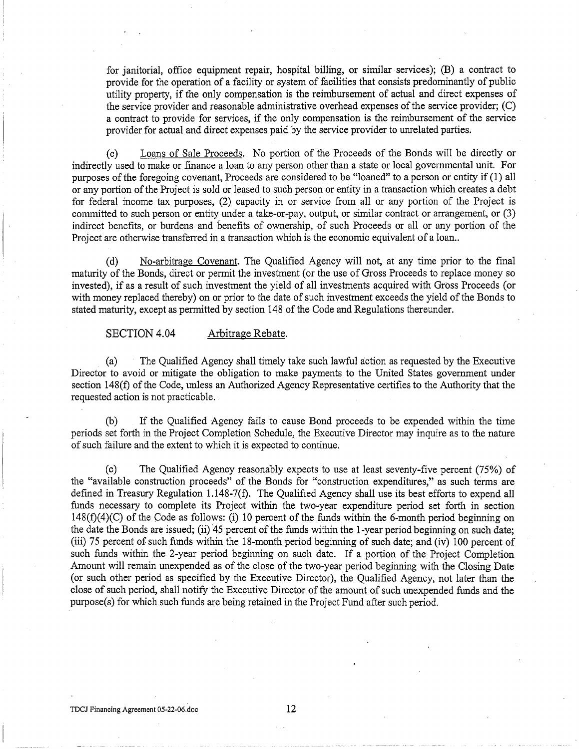for janitorial, office equipment repair, hospital billing, or similar services); (B) a contract to provide for the operation of a facility or system of facilities that consists predominantly of public utility property, if the only compensation is the reimbursement of actual and direct expenses of the service provider and reasonable administrative overhead expenses of the service provider; (C) a contract to provide for services, if the only compensation is the reimbursement of the service provider for actual and direct expenses paid by the service provider to umelated parties.

(c) Loans of Sale Proceeds. No portion of the Proceeds of the Bonds will be directly or indirectly used to make or finance a loan to any person other than a state or local governmental unit. For purposes of the foregoing covenant, Proceeds are considered to be "loaned" to a person or entity if (1) all or any portion of the Project is sold or leased to such person or entity in a transaction which creates a debt for federal income tax purposes, (2) capacity in or service from all or any portion of the Project is committed to such person or entity under a take-or-pay, output, or similar contract or arrangement, or (3) indirect benefits, or burdens and benefits of ownership, of such Proceeds or all or any portion of the Project are otherwise transferred in a transaction which is the economic equivalent of a loan...

(d) No-arbitrage Covenant. The Qualified Agency will not, at any time prior to the final maturity of the Bonds, direct or permit the investment (or the use of Gross Proceeds to replace money so invested), if as a result of such investment the yield of all investments acquired with Gross Proceeds (or with money replaced thereby) on or prior to the date of such investment exceeds the yield of the Bonds to stated maturity, except as permitted by section 148 of the Code and Regulations thereunder.

SECTION 4.04 Arbitrage Rebate.

(a) The Qualified Agency shall timely take such lawful action as requested by the Executive Director to avoid or mitigate the obligation to make payments to the United States government under section 148(f) of the Code, unless an Authorized Agency Representative certifies to the Authority that the requested action is not practicable.

(b) If the Qualified Agency fails to cause Bond proceeds to be expended within the time periods set forth in the Project Completion Schedule, the Executive Director may inquire as to the nature of such failure and the extent to which it is expected to continue.

(c) The Qualified Agency reasonably expects to use at least seventy-five percent (75%) of the "available construction proceeds" of the Bonds for "construction expenditures," as such terms are defined in Treasury Regulation 1.148-7(f). The Qualified Agency shall use its best efforts to expend all funds necessary to complete its Project within the two-year expenditure period set forth in section  $148(f)(4)(C)$  of the Code as follows: (i) 10 percent of the funds within the 6-month period beginning on the date the Bonds are issued; (ii) 45 percent of the funds within the 1-year period beginning on such date; (iii) 75 percent of such funds within the 18-month period beginning of such date; and (iv) 100 percent of such funds within the 2-year period beginning on such date. If a portion of the Project Completion Amount will remain unexpended as of the close of the two-year period beginning with the Closing Date (or such other period as specified by the Executive Director), the Qualified Agency, not later than the close of such period, shall notify the Executive Director of the amount of such unexpended funds and the purpose(s) for which such funds are being retained in the Project Fund after such period.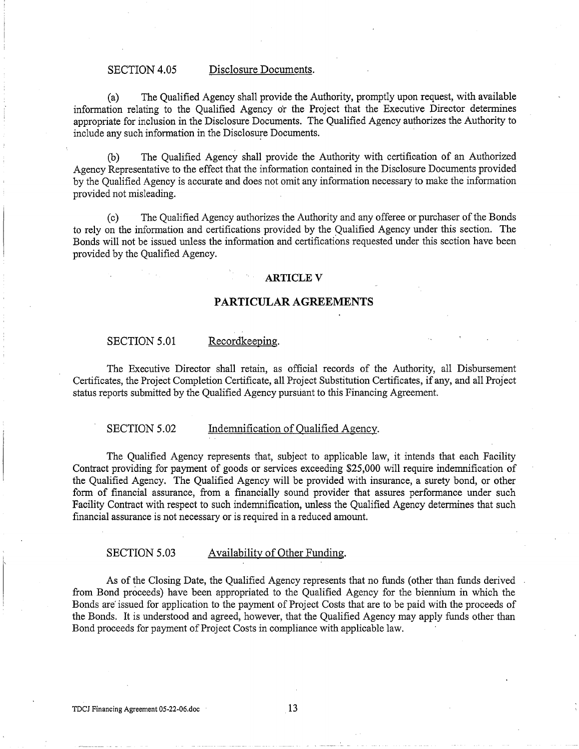## SECTION 4.05 Disclosure Documents.

(a) The Qualified Agency shall provide the Authority, promptly upon request, with available information relating to the Qualified Agency or the Project that the Executive Director determines appropriate for inclusion in the Disclosure Documents. The Qualified Agency authorizes the Authority to include any such information in the Disclosure Documents.

(b) The Qualified Agency shall provide the Authority with certification of an Authorized Agency Representative to the effect that the information contained in the Disclosure Documents provided by the Qualified Agency is accurate and does not omit any information necessary to make the information provided not misleading.

(c) The Qualified Agency authorizes the Authority and any offeree or purchaser of the Bonds to rely on the information and certifications provided by the Qualified Agency under this section. The Bonds will not be issued unless the information and certifications requested under this section have been provided by the Qualified Agency.

#### **ARTICLEV**

# **PARTICULAR AGREEMENTS**

# SECTION 5.01 Recordkeeping.

The Executive Director shall retain, as official records of the Authority, all Disbursement Certificates, the Project Completion Certificate, all Project Substitution Certificates, if any, and all Project status reports submitted by the Qualified Agency pursuant to this Financing Agreement.

#### SECTION 5.02 Indemnification of Qualified Agency.

The Qualified Agency represents that, subject to applicable law, it intends that each Facility Contract providing for payment of goods or services exceeding \$25,000 will require indemnification of the Qualified Agency. The Qualified Agency will be provided with insurance, a surety bond, or other form of financial assurance, from a financially sound provider that assures performance under such Facility Contract with respect to such indemnification, unless the Qualified Agency determines that such financial assurance is not necessary or is required in a reduced amount.

#### SECTION 5.03 Availability of Other Funding.

As of the Closing Date, the Qualified Agency represents that no funds (other than funds derived from Bond proceeds) have been appropriated to the Qualified Agency for the biennium in which the Bonds are issued for application to the payment of Project Costs that are to be paid with the proceeds of the Bonds. It is understood and agreed, however, that the Qualified Agency may apply funds other than Bond proceeds for payment of Project Costs in compliance with applicable law.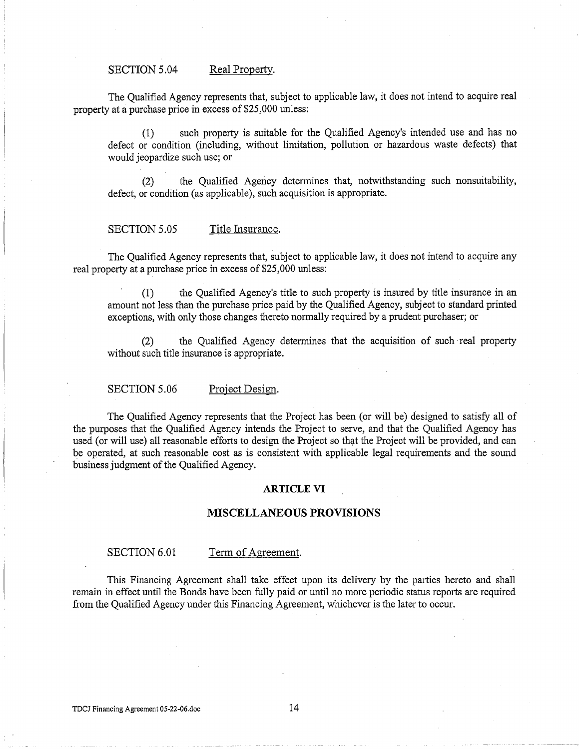## SECTION 5.04 Real Property.

The Qualified Agency represents that, subject to applicable law, it does not intend to acquire real property at a purchase price in excess of \$25,000 unless:

(1) such property is suitable for the Qualified Agency's intended use and has no defect or condition (including, without limitation, pollution or hazardous waste defects) that would jeopardize such use; or

(2) the Qualified Agency determines that, notwithstanding such nonsuitability, defect, or condition (as applicable), such acquisition is appropriate.

## SECTION 5.05 Title Insurance.

The Qualified Agency represents that, subject to applicable law, it does not intend to acquire any real property at a purchase price in excess of \$25,000 unless:

(1) the Qualified Agency's title to such property is insured by title insurance in an amount not less than the purchase price paid by the Qualified Agency, subject to standard printed exceptions, with only those changes thereto normally required by a prudent purchaser; or

(2) the Qualified Agency determines that the acquisition of such ·real property without such title insurance is appropriate.

SECTION 5.06 Project Design.

The Qualified Agency represents that the Project has been (or will be) designed to satisfy all of the purposes that the Qualified Agency intends the Project to serve, and that the Qualified Agency has used (or will use) all reasonable efforts to design the Project so that the Project will be provided, and can be operated, at such reasonable cost as is consistent with applicable legal requirements and the sound business judgment of the Qualified Agency.

## **ARTICLE VI**

# **MISCELLANEOUS PROVISIONS**

#### SECTION 6.01 Term of Agreement.

This Financing Agreement shall take effect upon its delivery by the parties hereto and shall remain in effect until the Bonds have been fully paid or until no more periodic status reports are required from the Qualified Agency under this Financing Agreement, whichever is the later to occur.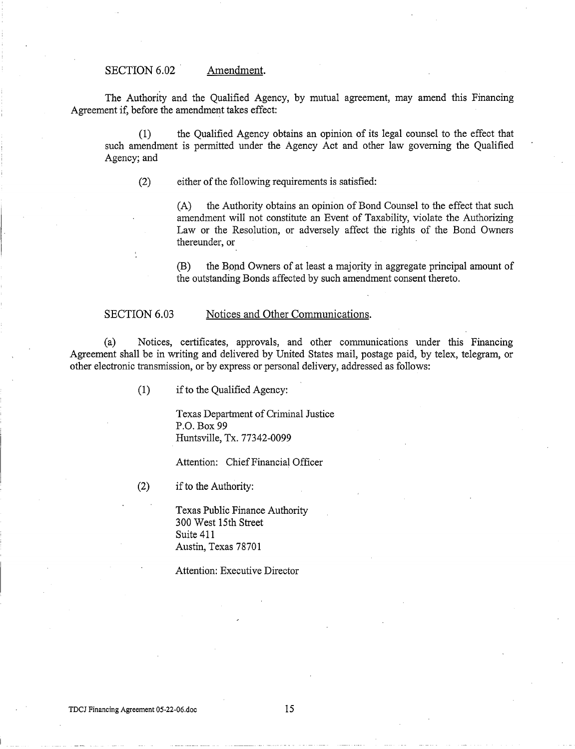## SECTION 6.02 Amendment.

The Authority and the Qualified Agency, by mutual agreement, may amend this Financing Agreement if, before the amendment takes effect:

(1) the Qualified Agency obtains an opinion of its legal counsel to the effect that such amendment is permitted under the Agency Act and other law governing the Qualified Agency; and

(2) either of the following requirements is satisfied:

(A) the Authority obtains an opinion of Bond Counsel to the effect that such amendment will not constitute an Event of Taxability, violate the Authorizing Law or the Resolution, or adversely affect the rights of the Bond Owners thereunder, or

(B) the Bond Owners of at least a majority in aggregate principal amount of the outstanding Bonds affected by such amendment consent thereto.

#### SECTION 6.03 Notices and Other Communications.

(a) Notices, certificates, approvals, and other communications under this Financing Agreement shall be in writing and delivered by United States mail, postage paid, by telex, telegram, or other electronic transmission, or by express or personal delivery, addressed as follows:

(1) if to the Qualified Agency:

Texas Department of Criminal Justice P.O. Box99 Huntsville, Tx. 77342-0099

Attention: Chief Financial Officer

(2) if to the Authority:

Texas Public Finance Authority 300 West 15th Street Suite 411 Austin, Texas 78701

Attention: Executive Director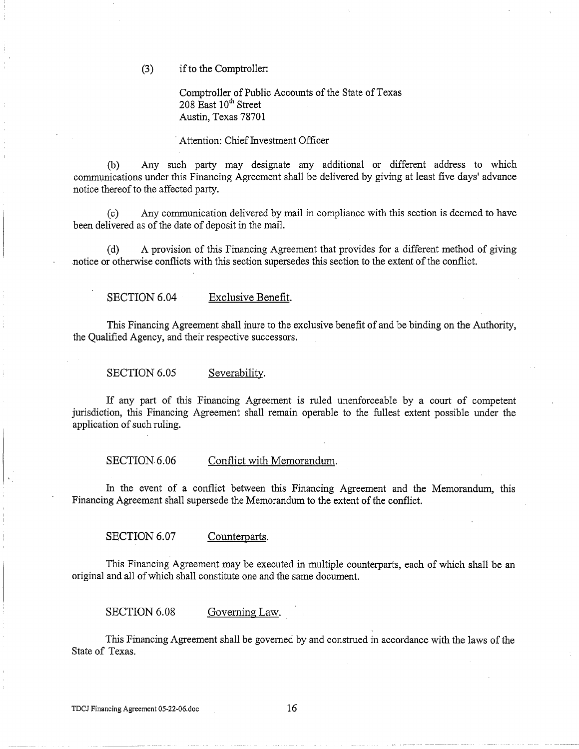(3) if to the Comptroller:

Comptroller of Public Accounts of the State of Texas  $208$  East  $10^{th}$  Street Austin, Texas 78701

Attention: Chief Investment Officer

(b) Any such party may designate any additional or different address to which communications under this Financing Agreement shall be delivered by giving at least five days' advance notice thereof to the affected party.

(c) Any communication delivered by mail in compliance with this section is deemed to have been delivered as of the date of deposit in the mail.

(d) A provision of this Financing Agreement that provides for a different method of giving .notice or otherwise conflicts with this section supersedes this section to the extent of the conflict.

SECTION 6.04 Exclusive Benefit.

This Financing Agreement shall inure to the exclusive benefit of and be binding on the Authority, the Qualified Agency, and their respective successors.

SECTION 6.05 Severability.

If any part of this Financing Agreement is ruled unenforceable by a court of competent jurisdiction, this Financing Agreement shall remain operable to the fullest extent possible under the application of such ruling.

SECTION 6.06 Conflict with Memorandum.

In the event of a conflict between this Financing Agreement and the Memorandum, this Financing Agreement shall supersede the Memorandum to the extent of the conflict.

SECTION 6.07 Counterparts.

This Financing Agreement may be executed in multiple counterparts, each of which shall be an original and all of which shall constitute one and the same document.

SECTION 6.08 Governing Law.

This Financing Agreement shall be governed by and construed in accordance with the laws of the State of Texas.

TDCJ Financing Agreement  $05-22-06$ .doc  $16$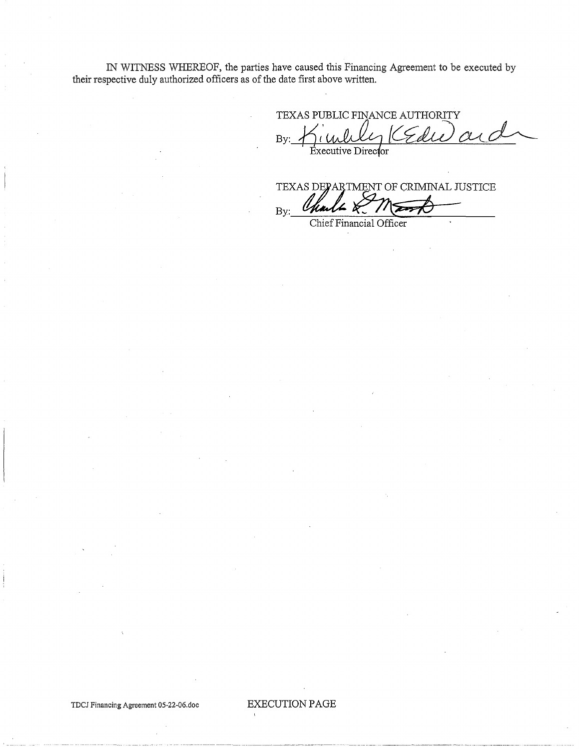IN WITNESS WHEREOF, the parties have caused this Financing Agreement to be executed by their respective duly authorized officers as of the date first above written.

TEXAS PUBLIC FINANCE AUTHORITY  $By:$  Kimble, KEdie Executive Director

TEXAS DEPARTMENT OF CRIMINAL JUSTICE  $By:$  Charles  $K/1$ 

TDCJ Financing Agreement 05-22-06.doc EXECUTION PAGE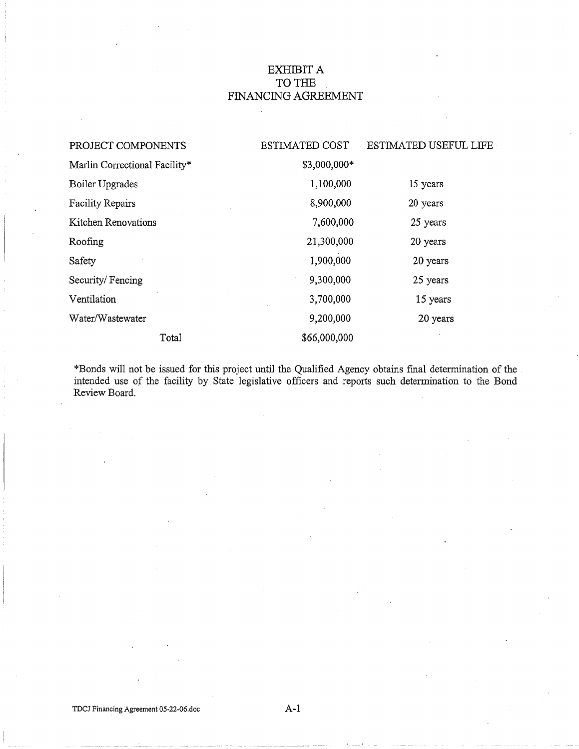# EXHIBIT A TO THE FINANCING AGREEMENT

| PROJECT COMPONENTS            | <b>ESTIMATED COST</b> | <b>ESTIMATED USEFUL LIFE</b> |
|-------------------------------|-----------------------|------------------------------|
| Marlin Correctional Facility* | \$3,000,000*          |                              |
| Boiler Upgrades               | 1,100,000             | 15 years                     |
| <b>Facility Repairs</b>       | 8,900,000             | 20 years                     |
| Kitchen Renovations           | 7,600,000             | 25 years                     |
| Roofing                       | 21,300,000            | 20 years                     |
| Safety                        | 1,900,000             | 20 years                     |
| Security/Fencing              | 9,300,000             | 25 years                     |
| Ventilation                   | 3,700,000             | 15 years                     |
| Water/Wastewater              | 9,200,000             | 20 years                     |
| Total                         | \$66,000,000          |                              |

\*Bonds vvill not be issued for this project until the Qualified Agency obtains final determination of the intended use *of* the facility by State legislative officers and reports such determination to the Bond Review Board.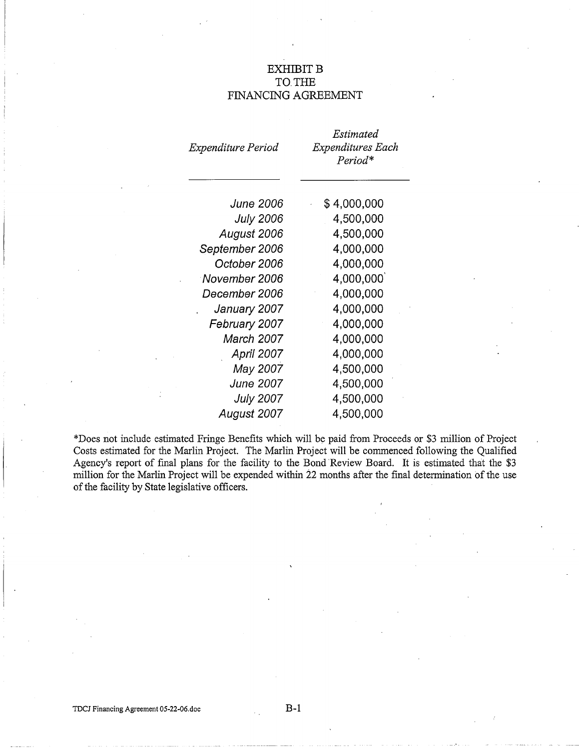# **EXHIBIT B** TO THE FINANCING AGREEMENT

| Expenditure Period | Estimated<br>Expenditures Each<br>Period* |
|--------------------|-------------------------------------------|
| <b>June 2006</b>   | \$4,000,000                               |
| <b>July 2006</b>   | 4,500,000                                 |
| August 2006        | 4,500,000                                 |
| September 2006     | 4,000,000                                 |
| October 2006       | 4,000,000                                 |
| November 2006      | 4,000,000                                 |
| December 2006      | 4,000,000                                 |
| January 2007       | 4,000,000                                 |
| February 2007      | 4,000,000                                 |
| March 2007         | 4,000,000                                 |
| <b>April 2007</b>  | 4,000,000                                 |
| May 2007           | 4,500,000                                 |
| <b>June 2007</b>   | 4,500,000                                 |
| <b>July 2007</b>   | 4,500,000                                 |
| August 2007        | 4,500,000                                 |

\*Does not include estimated Fringe Benefits which will be paid from Proceeds or \$3 million of Project Costs estimated for the Marlin Project. The Marlin Project will be commenced following the Qualified Agency's report of final plans for the facility to the Bond Review Board. It is estimated that the \$3 million for the Marlin Project will be expended within 22 months after the final determination of the use of the facility by State legislative officers.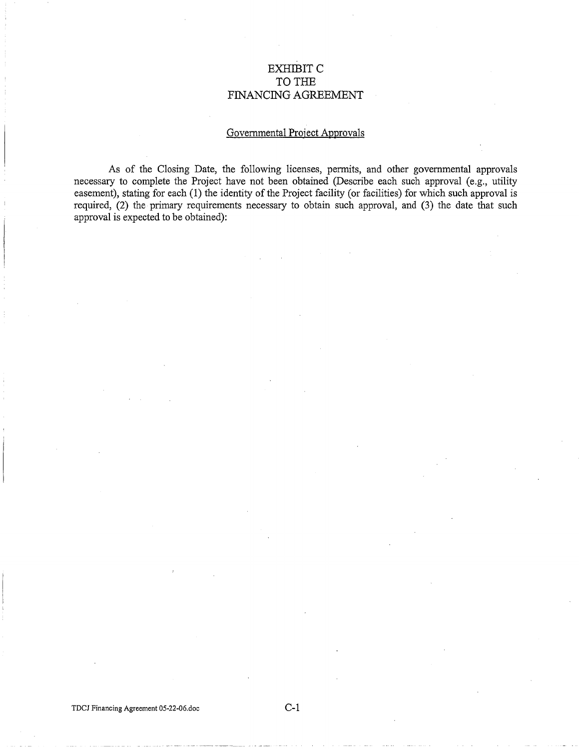# EXHIBITC TO THE FINANCING AGREEMENT

# Governmental Project Approvals

As of the Closing Date, the following licenses, permits, and other governmental approvals necessary to complete the Project have not been obtained (Describe each such approval (e.g., utility easement), stating for each (1) the identity of the Project facility (or facilities) for which such approval is required, (2) the primary requirements necessary to obtain such approval, and (3) the date that such approval is expected to be obtained):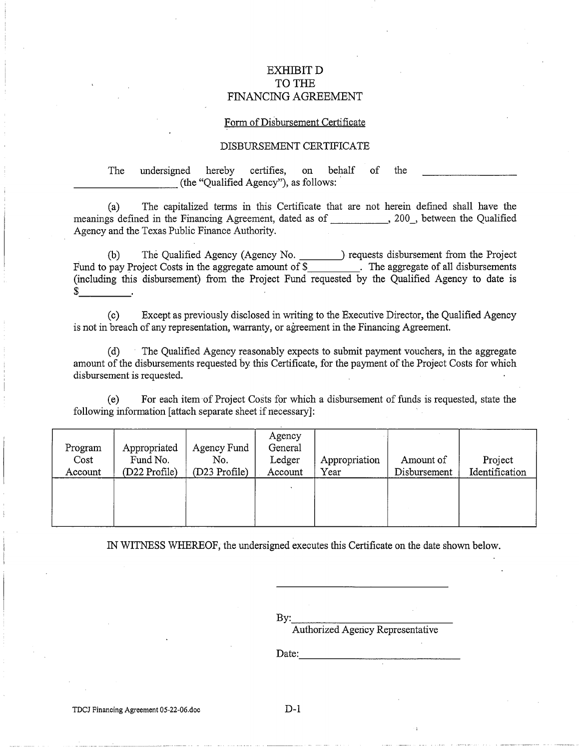# EXHIBITD TO THE FINANCING AGREEMENT

#### Form of Disbursement Certificate

## DISBURSEMENT CERTIFICATE

# The undersigned hereby certifies, on behalf of the (the "Qualified Agency"), as follows:

(a) The capitalized terms in this Certificate that are not herein defined shall have the meanings defined in the Financing Agreement, dated as of , 200, between the Qualified Agency and the Texas Public Finance Authority.

(b) The Qualified Agency (Agency No. 1892) requests disbursement from the Project Fund to pay Project Costs in the aggregate amount of \$\_\_\_\_\_\_\_\_\_. The aggregate of all disbursements (including this disbursement) from the Project Fund requested by the Qualified Agency to date is  $\frac{1}{2}$ 

(c) Except as previously disclosed in writing to the Executive Director, the Qualified Agency is not in breach of any representation, warranty, or agreement in the Financing Agreement.

(d) The Qualified Agency reasonably expects to submit payment vouchers, in the aggregate amount of the disbursements requested by this Certificate, for the payment of the Project Costs for which disbursement is requested.

(e) For each item of Project Costs for which a disbursement of funds is requested, state the following information [attach separate sheet if necessary]:

| Program<br>Cost<br>Account | Appropriated<br>Fund No.<br>(D22 Profile) | Agency Fund<br>No.<br>(D23 Profile) | Agency<br>General<br>Ledger<br>Account | Appropriation<br>Year | Amount of<br>Disbursement | Project<br>Identification |
|----------------------------|-------------------------------------------|-------------------------------------|----------------------------------------|-----------------------|---------------------------|---------------------------|
|                            |                                           |                                     |                                        |                       |                           |                           |

IN WITNESS WHEREOF, the undersigned executes this Certificate on the date shown below.

By:<br>Authorized Agency Representative

Date: ---------------------------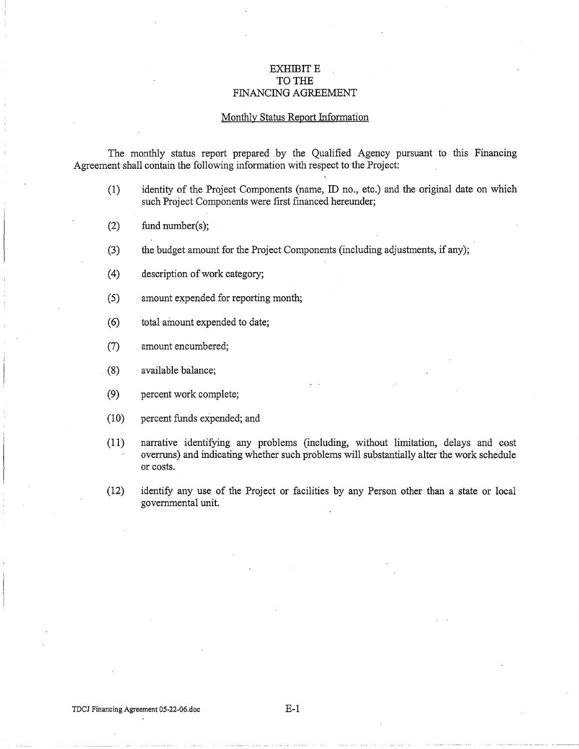# **EXHIBIT E TO THE**  FINANCING AGREEMENT

#### Monthly Status Report Information

The monthly status report prepared by the Qualified Agency pursuant to this Financing Agreement shall contain the following information with respect to the Project:

- (1) identity of the Project Components (name, ID no., etc.) and the original date on which such Project Components were first financed hereunder;
- (2) fund number(s);
- (3) the budget amount for the Project Components (including adjustments, if any);
- (4) description of work category;
- (5) amount expended for reporting month;
- ( 6) total amount expended to date;
- (7) amount encumbered;
- (8) available balance;
- (9) percent work complete;
- (10) percent funds expended; and
- (11) narrative identifying any problems (including, without limitation, delays and cost overruns) and indicating whether such problems will substantially alter the work schedule or costs.
- (12) identify any use of the Project or facilities by any Person other than a state or local governmental unit.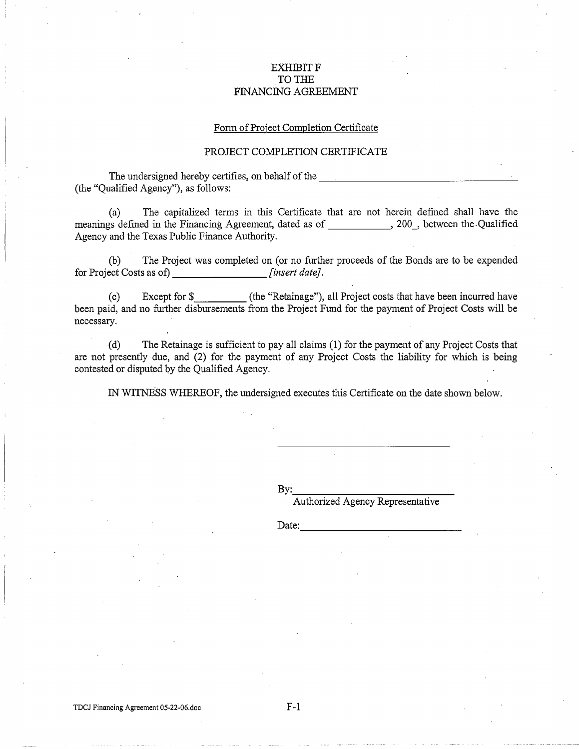# **EXHIBIT F** TO THE FINANCING AGREEMENT

#### Form of Project Completion Certificate

## PROJECT COMPLETION CERTIFICATE

The undersigned hereby certifies, on behalf of the (the "Qualified Agency"), as follows:

(a) The capitalized terms in this Certificate that are not herein defmed shall have the meanings defined in the Financing Agreement, dated as of , 200, between the Qualified Agency and the Texas Public Finance Authority.

(b) The Project was completed on (or no further proceeds of the Bonds are to be expended for Project Costs as of) [*insert date*]. *finsert date].* 

(c) Except for\$ (the "Retainage"), all Project costs that have been incurred have been paid, and no further disbursements from the Project Fund for the payment of Project Costs will be necessary.

(d) The Retainage is sufficient to pay all claims ( 1) for the payment of any Project Costs that are not presently due, and (2) for the payment of any Project Costs the liability for which is being contested or disputed by the Qualified Agency.

IN WITNESS WHEREOF, the undersigned executes this Certificate on the date shown below.

By: \_\_\_\_\_\_\_\_\_\_\_ \_

Authorized Agency Representative

Date: -------------

TDCJ Financing Agreement 05-22-06.doc

F-1